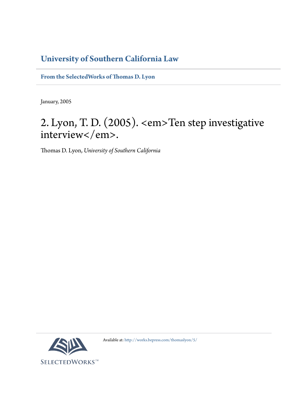# **[University of Southern California Law](http://gould.usc.edu/)**

**[From the SelectedWorks of Thomas D. Lyon](http://works.bepress.com/thomaslyon/)**

January, 2005

# 2. Lyon, T. D. (2005). <em>Ten step investigative interview</em>.

Thomas D. Lyon, *University of Southern California*



Available at: <http://works.bepress.com/thomaslyon/5/>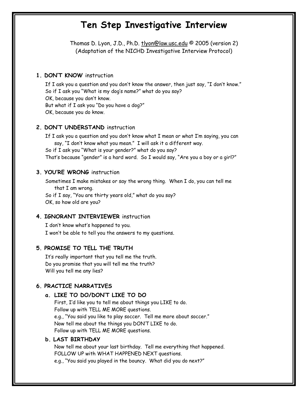# **Ten Step Investigative Interview**

Thomas D. Lyon, J.D., Ph.D. tlyon@law.usc.edu © 2005 (version 2) (Adaptation of the NICHD Investigative Interview Protocol)

# **1. DON'T KNOW** instruction

If I ask you a question and you don't know the answer, then just say, "I don't know." So if I ask you "What is my dog's name?" what do you say? OK, because you don't know. But what if I ask you "Do you have a dog?" OK, because you do know.

# **2. DON'T UNDERSTAND** instruction

If I ask you a question and you don't know what I mean or what I'm saying, you can say, "I don't know what you mean." I will ask it a different way. So if I ask you "What is your gender?" what do you say? That's because "gender" is a hard word. So I would say, "Are you a boy or a girl?"

### **3. YOU'RE WRONG** instruction

Sometimes I make mistakes or say the wrong thing. When I do, you can tell me that I am wrong. So if I say, "You are thirty years old," what do you say?

OK, so how old are you?

#### **4. IGNORANT INTERVIEWER** instruction

I don't know what's happened to you. I won't be able to tell you the answers to my questions.

#### **5. PROMISE TO TELL THE TRUTH**

It's really important that you tell me the truth. Do you promise that you will tell me the truth? Will you tell me any lies?

# **6. PRACTICE NARRATIVES**

#### **a. LIKE TO DO/DON'T LIKE TO DO**

First, I'd like you to tell me about things you LIKE to do. Follow up with TELL ME MORE questions. e.g., "You said you like to play soccer. Tell me more about soccer." Now tell me about the things you DON'T LIKE to do. Follow up with TELL ME MORE questions.

### **b. LAST BIRTHDAY**

Now tell me about your last birthday. Tell me everything that happened. FOLLOW UP with WHAT HAPPENED NEXT questions. e.g., "You said you played in the bouncy. What did you do next?"